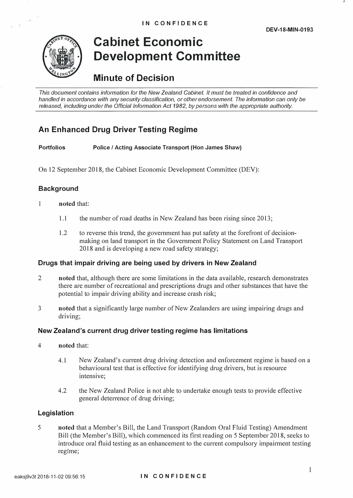

# **Cabinet Economic Development Committee**

## **Minute of Decision**

*This document contains information for the New Zealand Cabinet. It must be treated in confidence and handled in accordance with any security classification, or other endorsement. The information can only be released, including under the Official Information Act 1982, by persons with the appropriate authority.* 

### **An Enhanced Drug Driver Testing Regime**

**Portfolios Police** *I* **Acting Associate Transport (Hon James Shaw)** 

On 12 September 2018, the Cabinet Economic Development Committee (DEV):

### **Background**

- l **noted** that:
	- 1.1 the number of road deaths in New Zealand has been rising since 2013;
	- 1.2 to reverse this trend, the government has put safety at the forefront of decisionmaking on land transport in the Government Policy Statement on Land Transport 2018 and is developing a new road safety strategy;

#### **Drugs that impair driving are being used by drivers in New Zealand**

- 2 **noted** that, although there are some limitations in the data available, research demonstrates there are number of recreational and prescriptions drugs and other substances that have the potential to impair driving ability and increase crash risk;
- 3 **noted** that a significantly large number of New Zealanders are using impairing drugs and driving;

#### **New Zealand's current drug driver testing regime has limitations**

- 4 **noted** that:
	- 4.1 New Zealand's current drug driving detection and enforcement regime is based on a behavioural test that is effective for identifying drug drivers, but is resource intensive;
	- 4.2 the New Zealand Police is not able to undertake enough tests to provide effective general deterrence of drug driving;

#### **Legislation**

5 **noted** that a Member's Bill, the Land Transport (Random Oral Fluid Testing) Amendment Bill (the Member's Bill), which commenced its first reading on 5 September 2018, seeks to introduce oral fluid testing as an enhancement to the current compulsory impairment testing regime;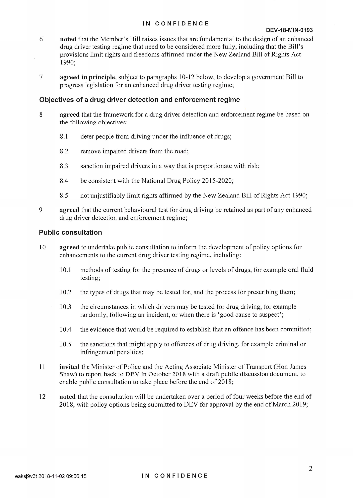#### IN CONFIDENCE

- noted that the Member's Bill raises issues that are fundamental to the design of an enhanced 6 drug driver testing regime that need to be considered more fully, including that the Bill's provisions limit rights and freedoms affirmed under the New Zealand Bill of Rights Act 1990:
- agreed in principle, subject to paragraphs 10-12 below, to develop a government Bill to  $\overline{7}$ progress legislation for an enhanced drug driver testing regime;

#### Objectives of a drug driver detection and enforcement regime

- agreed that the framework for a drug driver detection and enforcement regime be based on 8 the following objectives:
	- 8.1 deter people from driving under the influence of drugs;
	- 8.2 remove impaired drivers from the road;
	- 8.3 sanction impaired drivers in a way that is proportionate with risk;
	- 8.4 be consistent with the National Drug Policy 2015-2020;
	- 8.5 not unjustifiably limit rights affirmed by the New Zealand Bill of Rights Act 1990;
- 9 agreed that the current behavioural test for drug driving be retained as part of any enhanced drug driver detection and enforcement regime;

#### **Public consultation**

- $10$ **agreed** to undertake public consultation to inform the development of policy options for enhancements to the current drug driver testing regime, including:
	- methods of testing for the presence of drugs or levels of drugs, for example oral fluid  $10.1$ testing;
	- 10.2 the types of drugs that may be tested for, and the process for prescribing them;
	- 10.3 the circumstances in which drivers may be tested for drug driving, for example randomly, following an incident, or when there is 'good cause to suspect';
	- the evidence that would be required to establish that an offence has been committed; 10.4
	- 10.5 the sanctions that might apply to offences of drug driving, for example criminal or infringement penalties;
- 11 invited the Minister of Police and the Acting Associate Minister of Transport (Hon James Shaw) to report back to DEV in October 2018 with a draft public discussion document, to enable public consultation to take place before the end of 2018;
- 12 noted that the consultation will be undertaken over a period of four weeks before the end of 2018, with policy options being submitted to DEV for approval by the end of March 2019;